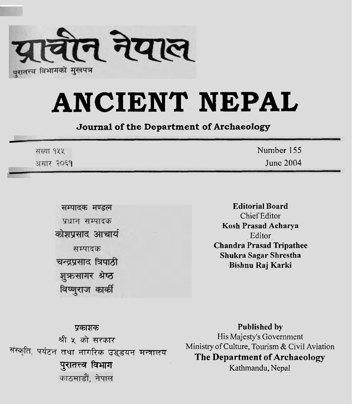

## **ANCIENT. NEPAL**

**Journal of the Department of Archaeology** 

| संख्या १५५ | Number 155 |
|------------|------------|
| असार २०६१  | June 2004  |

सम्पादक मण्डल प्रधान सम्पादक कोशप्रसाद आचार्य सम्पादक चन्द्रप्रसाद त्रिपाठी शुक्रसागर श्रेष्ठ विष्णुराज कार्की

**Editorial Board**  Chief Editor **Kosh Prasad Acharya**  Editor **Chandra Prasad Tripathee Shukra Sagar Shrestha Bishnu Raj Karki** 

FlTFF **Published by**  प्रकाशक<br>असे ५ को सरकार<br>संस्कृति, पर्यटन तथा नागरिक उड्डयन मन्त्रालय Ministry of Culture, Tourism & Civil Aviation<br>प्रगतन्त्र विभाग (The Department of Archaeology mrn Kathmandu, Nepal

श्री ५ को सरकार तथा नागरिक उड्डयन मन्त्रालय Ministry of Culture, Tourism & Civil Aviation<br>**The Department of Archaeology**<br>Kathmandu Nepal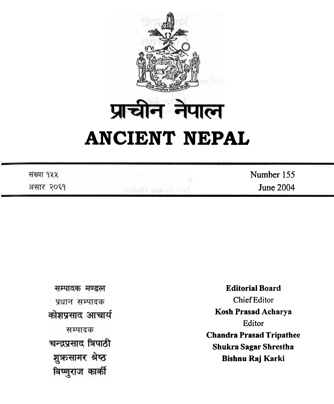

| संख्या १५५ | Number 155       |
|------------|------------------|
| असार २०६१  | <b>June 2004</b> |

सम्पादक मण्डल प्रधान सम्पादक कोशप्रसाद आचार्य सम्पादक चन्द्रप्रसाद त्रिपाठी शुऋसागर श्रेष्ठ विष्णुराज कार्की

**Editorial Board**  Chief Editor **Kosh Prasad Acharya**  Editor **Chandra Prasad Tripathee Shukra Sagar Shrestha Bishnu Raj Karki**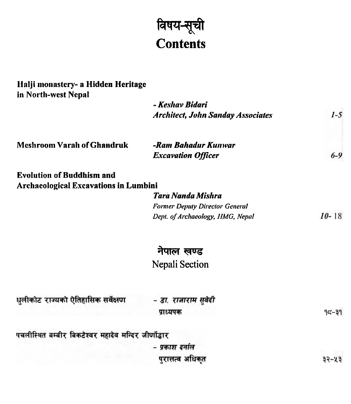## विषय-सूची<br>Contents

| Halji monastery- a Hidden Heritage<br>in North-west Nepal |                                          |           |
|-----------------------------------------------------------|------------------------------------------|-----------|
|                                                           | - Keshav Bidari                          |           |
|                                                           | <b>Architect, John Sanday Associates</b> | $1-5$     |
| <b>Meshroom Varah of Ghandruk</b>                         | -Ram Bahadur Kunwar                      |           |
|                                                           | <b>Excavation Officer</b>                | $6 - 9$   |
| <b>Evolution of Buddhism and</b>                          |                                          |           |
| <b>Archaeological Excavations in Lumbini</b>              |                                          |           |
|                                                           | Tara Nanda Mishra                        |           |
|                                                           | <b>Former Deputy Director General</b>    |           |
|                                                           | Dept. of Archaeology, HMG, Nepal         | $10 - 18$ |
|                                                           | नेपाल खण्ड                               |           |
|                                                           | Nepali Section                           |           |
| धुलीकोट राज्यको ऐतिहासिक सर्वेक्षण                        | - डा. राजाराम सुवेदी                     |           |
|                                                           | प्राध्यपक                                | $95 - 39$ |
| पचलीस्थित बम्बीर बिकटेश्वर महादेव मन्दिर जीर्णोद्धार      |                                          |           |
|                                                           | - प्रकाश दर्नाल                          |           |
|                                                           | परात्तत्व अधिकत                          | ३२-५३     |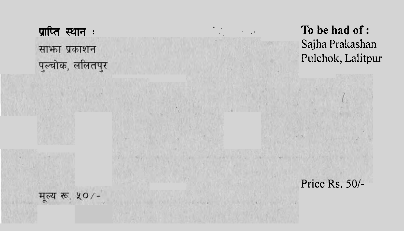साफा प्रकाशन पुल्चोक, ललितपुर

**mft?rRTT: Tobehadof:**  Sajha Prakashan Pulchok, Lalitpur

**Price Rs. 50/-**

मृल्य रू. ५०/-